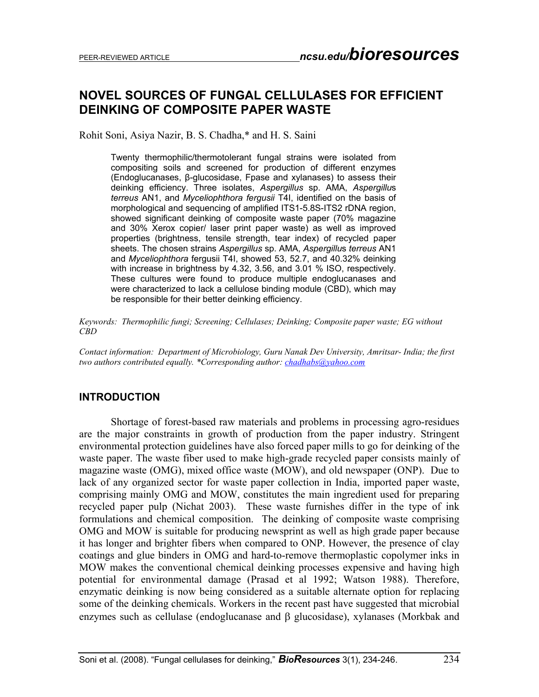# **NOVEL SOURCES OF FUNGAL CELLULASES FOR EFFICIENT DEINKING OF COMPOSITE PAPER WASTE**

Rohit Soni, Asiya Nazir, B. S. Chadha,\* and H. S. Saini

Twenty thermophilic/thermotolerant fungal strains were isolated from compositing soils and screened for production of different enzymes (Endoglucanases, β-glucosidase, Fpase and xylanases) to assess their deinking efficiency. Three isolates, *Aspergillus* sp. AMA, *Aspergillu*s *terreus* AN1, and *Myceliophthora fergusii* T4I, identified on the basis of morphological and sequencing of amplified ITS1-5.8S-ITS2 rDNA region, showed significant deinking of composite waste paper (70% magazine and 30% Xerox copier/ laser print paper waste) as well as improved properties (brightness, tensile strength, tear index) of recycled paper sheets. The chosen strains *Aspergillus* sp. AMA, *Aspergillu*s *terreus* AN1 and *Myceliophthora* fergusii T4I, showed 53, 52.7, and 40.32% deinking with increase in brightness by 4.32, 3.56, and 3.01 % ISO, respectively. These cultures were found to produce multiple endoglucanases and were characterized to lack a cellulose binding module (CBD), which may be responsible for their better deinking efficiency.

*Keywords: Thermophilic fungi; Screening; Cellulases; Deinking; Composite paper waste; EG without CBD* 

*Contact information: Department of Microbiology, Guru Nanak Dev University, Amritsar- India; the first two authors contributed equally. \*Corresponding author: chadhabs@yahoo.com*

### **INTRODUCTION**

 Shortage of forest-based raw materials and problems in processing agro-residues are the major constraints in growth of production from the paper industry. Stringent environmental protection guidelines have also forced paper mills to go for deinking of the waste paper. The waste fiber used to make high-grade recycled paper consists mainly of magazine waste (OMG), mixed office waste (MOW), and old newspaper (ONP). Due to lack of any organized sector for waste paper collection in India, imported paper waste, comprising mainly OMG and MOW, constitutes the main ingredient used for preparing recycled paper pulp (Nichat 2003). These waste furnishes differ in the type of ink formulations and chemical composition. The deinking of composite waste comprising OMG and MOW is suitable for producing newsprint as well as high grade paper because it has longer and brighter fibers when compared to ONP. However, the presence of clay coatings and glue binders in OMG and hard-to-remove thermoplastic copolymer inks in MOW makes the conventional chemical deinking processes expensive and having high potential for environmental damage (Prasad et al 1992; Watson 1988). Therefore, enzymatic deinking is now being considered as a suitable alternate option for replacing some of the deinking chemicals. Workers in the recent past have suggested that microbial enzymes such as cellulase (endoglucanase and β glucosidase), xylanases (Morkbak and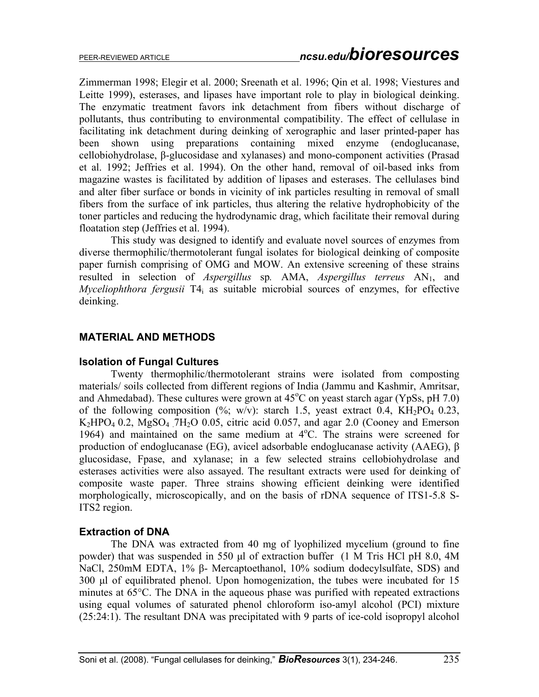Zimmerman 1998; Elegir et al. 2000; Sreenath et al. 1996; Qin et al. 1998; Viestures and Leitte 1999), esterases, and lipases have important role to play in biological deinking. The enzymatic treatment favors ink detachment from fibers without discharge of pollutants, thus contributing to environmental compatibility. The effect of cellulase in facilitating ink detachment during deinking of xerographic and laser printed-paper has been shown using preparations containing mixed enzyme (endoglucanase, cellobiohydrolase, β-glucosidase and xylanases) and mono-component activities (Prasad et al. 1992; Jeffries et al. 1994). On the other hand, removal of oil-based inks from magazine wastes is facilitated by addition of lipases and esterases. The cellulases bind and alter fiber surface or bonds in vicinity of ink particles resulting in removal of small fibers from the surface of ink particles, thus altering the relative hydrophobicity of the toner particles and reducing the hydrodynamic drag, which facilitate their removal during floatation step (Jeffries et al. 1994).

This study was designed to identify and evaluate novel sources of enzymes from diverse thermophilic/thermotolerant fungal isolates for biological deinking of composite paper furnish comprising of OMG and MOW. An extensive screening of these strains resulted in selection of *Aspergillus* sp. AMA, *Aspergillus terreus* AN<sub>1</sub>, and *Myceliophthora fergusii* T4<sub>i</sub> as suitable microbial sources of enzymes, for effective deinking.

# **MATERIAL AND METHODS**

### **Isolation of Fungal Cultures**

Twenty thermophilic/thermotolerant strains were isolated from composting materials/ soils collected from different regions of India (Jammu and Kashmir, Amritsar, and Ahmedabad). These cultures were grown at  $45^{\circ}$ C on yeast starch agar (YpSs, pH 7.0) of the following composition  $(\%; w/v)$ : starch 1.5, yeast extract 0.4, KH<sub>2</sub>PO<sub>4</sub> 0.23,  $K_2HPO_4$  0.2,  $MgSO_4$  7H<sub>2</sub>O 0.05, citric acid 0.057, and agar 2.0 (Cooney and Emerson 1964) and maintained on the same medium at  $4^{\circ}$ C. The strains were screened for production of endoglucanase (EG), avicel adsorbable endoglucanase activity (AAEG), β glucosidase, Fpase, and xylanase; in a few selected strains cellobiohydrolase and esterases activities were also assayed. The resultant extracts were used for deinking of composite waste paper. Three strains showing efficient deinking were identified morphologically, microscopically, and on the basis of rDNA sequence of ITS1-5.8 S-ITS2 region.

### **Extraction of DNA**

The DNA was extracted from 40 mg of lyophilized mycelium (ground to fine powder) that was suspended in 550 µl of extraction buffer (1 M Tris HCl pH 8.0, 4M NaCl, 250mM EDTA, 1% β- Mercaptoethanol, 10% sodium dodecylsulfate, SDS) and 300 µl of equilibrated phenol. Upon homogenization, the tubes were incubated for 15 minutes at 65°C. The DNA in the aqueous phase was purified with repeated extractions using equal volumes of saturated phenol chloroform iso-amyl alcohol (PCI) mixture (25:24:1). The resultant DNA was precipitated with 9 parts of ice-cold isopropyl alcohol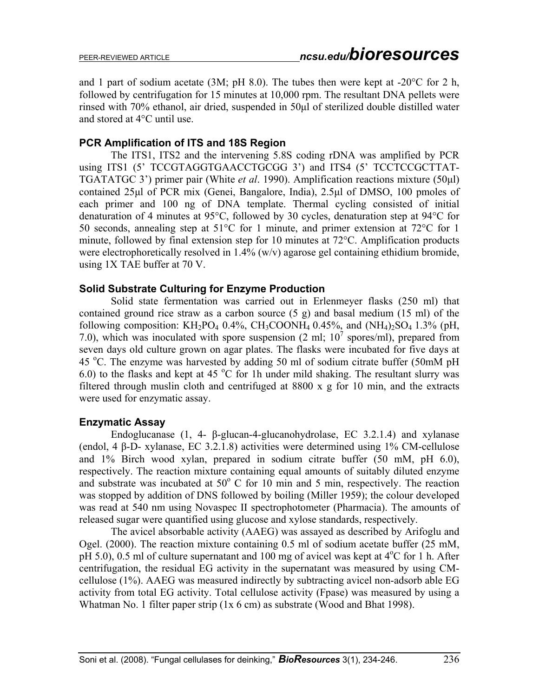and 1 part of sodium acetate (3M; pH 8.0). The tubes then were kept at -20°C for 2 h, followed by centrifugation for 15 minutes at 10,000 rpm. The resultant DNA pellets were rinsed with 70% ethanol, air dried, suspended in 50µl of sterilized double distilled water and stored at 4°C until use.

# **PCR Amplification of ITS and 18S Region**

The ITS1, ITS2 and the intervening 5.8S coding rDNA was amplified by PCR using ITS1 (5' TCCGTAGGTGAACCTGCGG 3') and ITS4 (5' TCCTCCGCTTAT-TGATATGC 3') primer pair (White *et al*. 1990). Amplification reactions mixture (50µl) contained 25µl of PCR mix (Genei, Bangalore, India), 2.5µl of DMSO, 100 pmoles of each primer and 100 ng of DNA template. Thermal cycling consisted of initial denaturation of 4 minutes at 95°C, followed by 30 cycles, denaturation step at 94°C for 50 seconds, annealing step at 51°C for 1 minute, and primer extension at 72°C for 1 minute, followed by final extension step for 10 minutes at 72°C. Amplification products were electrophoretically resolved in 1.4% (w/y) agarose gel containing ethidium bromide. using 1X TAE buffer at 70 V.

### **Solid Substrate Culturing for Enzyme Production**

Solid state fermentation was carried out in Erlenmeyer flasks (250 ml) that contained ground rice straw as a carbon source (5 g) and basal medium (15 ml) of the following composition:  $KH_2PO_4$  0.4%,  $CH_3COONH_4$  0.45%, and  $(NH_4)_2SO_4$  1.3% (pH, 7.0), which was inoculated with spore suspension  $(2 \text{ ml}; 10^7 \text{ spores/ml})$ , prepared from seven days old culture grown on agar plates. The flasks were incubated for five days at 45 °C. The enzyme was harvested by adding 50 ml of sodium citrate buffer (50mM pH 6.0) to the flasks and kept at 45  $\mathrm{^{\circ}C}$  for 1h under mild shaking. The resultant slurry was filtered through muslin cloth and centrifuged at 8800 x g for 10 min, and the extracts were used for enzymatic assay.

### **Enzymatic Assay**

Endoglucanase (1, 4- β-glucan-4-glucanohydrolase, EC 3.2.1.4) and xylanase (endol, 4 β-D- xylanase, EC 3.2.1.8) activities were determined using 1% CM-cellulose and 1% Birch wood xylan, prepared in sodium citrate buffer (50 mM, pH 6.0), respectively. The reaction mixture containing equal amounts of suitably diluted enzyme and substrate was incubated at  $50^{\circ}$  C for 10 min and 5 min, respectively. The reaction was stopped by addition of DNS followed by boiling (Miller 1959); the colour developed was read at 540 nm using Novaspec II spectrophotometer (Pharmacia). The amounts of released sugar were quantified using glucose and xylose standards, respectively.

 The avicel absorbable activity (AAEG) was assayed as described by Arifoglu and Ogel. (2000). The reaction mixture containing 0.5 ml of sodium acetate buffer (25 mM, pH 5.0), 0.5 ml of culture supernatant and 100 mg of avicel was kept at  $4^{\circ}$ C for 1 h. After centrifugation, the residual EG activity in the supernatant was measured by using CMcellulose (1%). AAEG was measured indirectly by subtracting avicel non-adsorb able EG activity from total EG activity. Total cellulose activity (Fpase) was measured by using a Whatman No. 1 filter paper strip (1x 6 cm) as substrate (Wood and Bhat 1998).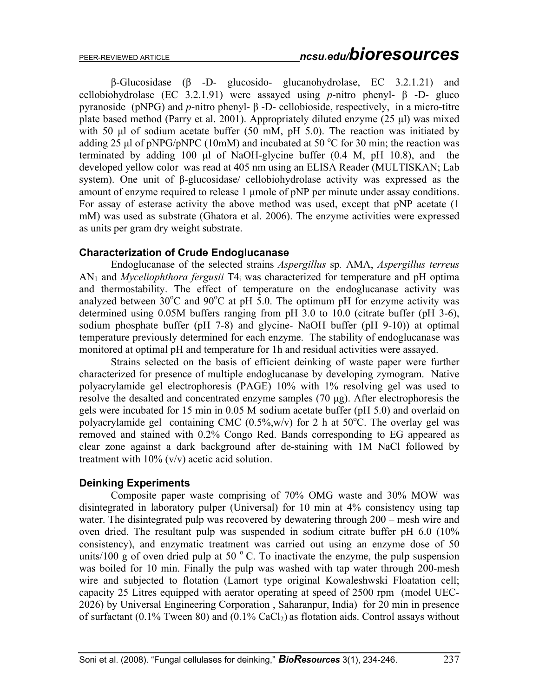β-Glucosidase (β -D- glucosido- glucanohydrolase, EC 3.2.1.21) and cellobiohydrolase (EC 3.2.1.91) were assayed using *p*-nitro phenyl- β -D- gluco pyranoside (pNPG) and *p*-nitro phenyl- β -D- cellobioside, respectively, in a micro-titre plate based method (Parry et al. 2001). Appropriately diluted enzyme (25 µl) was mixed with 50 µl of sodium acetate buffer (50 mM, pH 5.0). The reaction was initiated by adding  $25$  µl of pNPG/pNPC (10mM) and incubated at  $50^{\circ}$ C for 30 min; the reaction was terminated by adding 100 µl of NaOH-glycine buffer (0.4 M, pH 10.8), and the developed yellow color was read at 405 nm using an ELISA Reader (MULTISKAN; Lab system). One unit of β-glucosidase/ cellobiohydrolase activity was expressed as the amount of enzyme required to release 1 µmole of pNP per minute under assay conditions. For assay of esterase activity the above method was used, except that pNP acetate (1 mM) was used as substrate (Ghatora et al. 2006). The enzyme activities were expressed as units per gram dry weight substrate.

### **Characterization of Crude Endoglucanase**

Endoglucanase of the selected strains *Aspergillus* sp*.* AMA, *Aspergillus terreus* AN1 and *Myceliophthora fergusii* T4i was characterized for temperature and pH optima and thermostability. The effect of temperature on the endoglucanase activity was analyzed between  $30^{\circ}$ C and  $90^{\circ}$ C at pH 5.0. The optimum pH for enzyme activity was determined using 0.05M buffers ranging from pH 3.0 to 10.0 (citrate buffer (pH 3-6), sodium phosphate buffer (pH 7-8) and glycine- NaOH buffer (pH 9-10)) at optimal temperature previously determined for each enzyme. The stability of endoglucanase was monitored at optimal pH and temperature for 1h and residual activities were assayed.

 Strains selected on the basis of efficient deinking of waste paper were further characterized for presence of multiple endoglucanase by developing zymogram. Native polyacrylamide gel electrophoresis (PAGE) 10% with 1% resolving gel was used to resolve the desalted and concentrated enzyme samples (70 µg). After electrophoresis the gels were incubated for 15 min in 0.05 M sodium acetate buffer (pH 5.0) and overlaid on polyacrylamide gel containing CMC  $(0.5\%, w/v)$  for 2 h at  $50^{\circ}$ C. The overlay gel was removed and stained with 0.2% Congo Red. Bands corresponding to EG appeared as clear zone against a dark background after de-staining with 1M NaCl followed by treatment with 10% (v/v) acetic acid solution.

### **Deinking Experiments**

 Composite paper waste comprising of 70% OMG waste and 30% MOW was disintegrated in laboratory pulper (Universal) for 10 min at 4% consistency using tap water. The disintegrated pulp was recovered by dewatering through 200 – mesh wire and oven dried. The resultant pulp was suspended in sodium citrate buffer pH 6.0 (10% consistency), and enzymatic treatment was carried out using an enzyme dose of 50 units/100 g of oven dried pulp at 50 $\degree$ C. To inactivate the enzyme, the pulp suspension was boiled for 10 min. Finally the pulp was washed with tap water through 200-mesh wire and subjected to flotation (Lamort type original Kowaleshwski Floatation cell; capacity 25 Litres equipped with aerator operating at speed of 2500 rpm (model UEC-2026) by Universal Engineering Corporation , Saharanpur, India) for 20 min in presence of surfactant (0.1% Tween 80) and (0.1% CaCl<sub>2</sub>) as flotation aids. Control assays without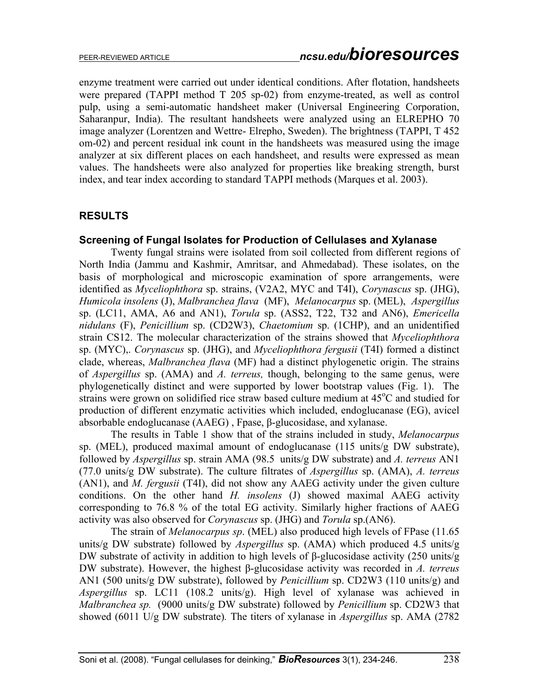enzyme treatment were carried out under identical conditions. After flotation, handsheets were prepared (TAPPI method T 205 sp-02) from enzyme-treated, as well as control pulp, using a semi-automatic handsheet maker (Universal Engineering Corporation, Saharanpur, India). The resultant handsheets were analyzed using an ELREPHO 70 image analyzer (Lorentzen and Wettre- Elrepho, Sweden). The brightness (TAPPI, T 452 om-02) and percent residual ink count in the handsheets was measured using the image analyzer at six different places on each handsheet, and results were expressed as mean values. The handsheets were also analyzed for properties like breaking strength, burst index, and tear index according to standard TAPPI methods (Marques et al. 2003).

# **RESULTS**

#### **Screening of Fungal Isolates for Production of Cellulases and Xylanase**

 Twenty fungal strains were isolated from soil collected from different regions of North India (Jammu and Kashmir, Amritsar, and Ahmedabad). These isolates, on the basis of morphological and microscopic examination of spore arrangements, were identified as *Myceliophthora* sp. strains, (V2A2, MYC and T4I), *Corynascus* sp. (JHG), *Humicola insolens* (J), *Malbranchea flava* (MF), *Melanocarpus* sp. (MEL), *Aspergillus* sp. (LC11, AMA, A6 and AN1), *Torula* sp. (ASS2, T22, T32 and AN6), *Emericella nidulans* (F), *Penicillium* sp. (CD2W3), *Chaetomium* sp. (1CHP), and an unidentified strain CS12. The molecular characterization of the strains showed that *Myceliophthora* sp. (MYC),. *Corynascus* sp. (JHG), and *Myceliophthora fergusii* (T4I) formed a distinct clade, whereas, *Malbranchea flava* (MF) had a distinct phylogenetic origin. The strains of *Aspergillus* sp. (AMA) and *A. terreus,* though, belonging to the same genus, were phylogenetically distinct and were supported by lower bootstrap values (Fig. 1). The strains were grown on solidified rice straw based culture medium at 45°C and studied for production of different enzymatic activities which included, endoglucanase (EG), avicel absorbable endoglucanase (AAEG) , Fpase, β-glucosidase, and xylanase.

 The results in Table 1 show that of the strains included in study, *Melanocarpus*  sp. (MEL), produced maximal amount of endoglucanase (115 units/g DW substrate), followed by *Aspergillus* sp. strain AMA (98.5 units/g DW substrate) and *A. terreus* AN1 (77.0 units/g DW substrate). The culture filtrates of *Aspergillus* sp. (AMA), *A. terreus* (AN1), and *M. fergusii* (T4I), did not show any AAEG activity under the given culture conditions. On the other hand *H. insolens* (J) showed maximal AAEG activity corresponding to 76.8 % of the total EG activity. Similarly higher fractions of AAEG activity was also observed for *Corynascus* sp. (JHG) and *Torula* sp.(AN6).

 The strain of *Melanocarpus sp*. (MEL) also produced high levels of FPase (11.65 units/g DW substrate) followed by *Aspergillus* sp. (AMA) which produced 4.5 units/g DW substrate of activity in addition to high levels of β-glucosidase activity (250 units/g DW substrate). However, the highest β-glucosidase activity was recorded in *A. terreus* AN1 (500 units/g DW substrate), followed by *Penicillium* sp. CD2W3 (110 units/g) and *Aspergillus* sp. LC11 (108.2 units/g). High level of xylanase was achieved in *Malbranchea sp.* (9000 units/g DW substrate) followed by *Penicillium* sp. CD2W3 that showed (6011 U/g DW substrate)*.* The titers of xylanase in *Aspergillus* sp. AMA (2782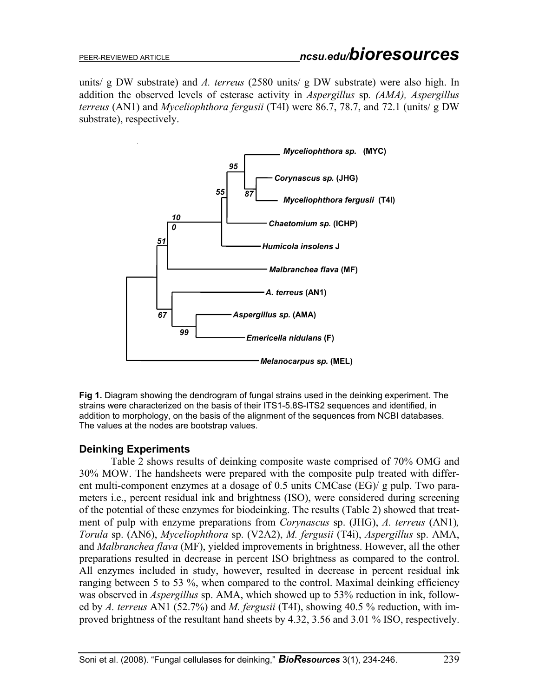units/ g DW substrate) and *A. terreus* (2580 units/ g DW substrate) were also high. In addition the observed levels of esterase activity in *Aspergillus* sp*. (AMA), Aspergillus terreus* (AN1) and *Myceliophthora fergusii* (T4I) were 86.7, 78.7, and 72.1 (units/ g DW substrate), respectively.



**Fig 1.** Diagram showing the dendrogram of fungal strains used in the deinking experiment. The strains were characterized on the basis of their ITS1-5.8S-ITS2 sequences and identified, in addition to morphology, on the basis of the alignment of the sequences from NCBI databases. The values at the nodes are bootstrap values.

### **Deinking Experiments**

 Table 2 shows results of deinking composite waste comprised of 70% OMG and 30% MOW. The handsheets were prepared with the composite pulp treated with different multi-component enzymes at a dosage of 0.5 units CMCase (EG)/ g pulp. Two parameters i.e., percent residual ink and brightness (ISO), were considered during screening of the potential of these enzymes for biodeinking. The results (Table 2) showed that treatment of pulp with enzyme preparations from *Corynascus* sp. (JHG), *A. terreus* (AN1)*, Torula* sp. (AN6), *Myceliophthora* sp. (V2A2), *M. fergusii* (T4i), *Aspergillus* sp. AMA, and *Malbranchea flava* (MF), yielded improvements in brightness. However, all the other preparations resulted in decrease in percent ISO brightness as compared to the control. All enzymes included in study, however, resulted in decrease in percent residual ink ranging between 5 to 53 %, when compared to the control. Maximal deinking efficiency was observed in *Aspergillus* sp. AMA, which showed up to 53% reduction in ink, followed by *A. terreus* AN1 (52.7%) and *M. fergusii* (T4I), showing 40.5 % reduction, with improved brightness of the resultant hand sheets by 4.32, 3.56 and 3.01 % ISO, respectively.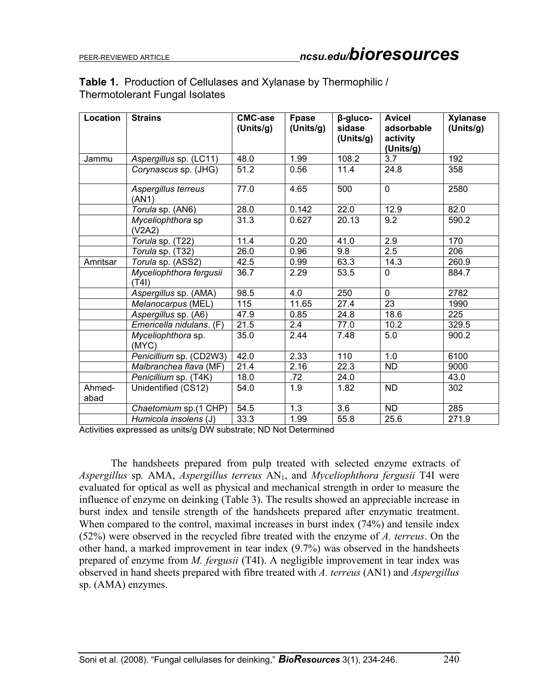### **Table 1.** Production of Cellulases and Xylanase by Thermophilic / Thermotolerant Fungal Isolates

| Location       | <b>Strains</b>                          | <b>CMC-ase</b><br>(Units/g) | Fpase<br>(Units/g) | β-gluco-<br>sidase<br>(Units/g) | <b>Avicel</b><br>adsorbable<br>activity<br>(Units/g) | <b>Xylanase</b><br>(Units/g) |
|----------------|-----------------------------------------|-----------------------------|--------------------|---------------------------------|------------------------------------------------------|------------------------------|
| Jammu          | Aspergillus sp. (LC11)                  | 48.0                        | 1.99               | 108.2                           | 3.7                                                  | 192                          |
|                | Corynascus sp. (JHG)                    | 51.2                        | 0.56               | 11.4                            | 24.8                                                 | 358                          |
|                | Aspergillus terreus<br>(AN1)            | 77.0                        | 4.65               | 500                             | $\overline{0}$                                       | 2580                         |
|                | Torula sp. (AN6)                        | 28.0                        | 0.142              | 22.0                            | 12.9                                                 | 82.0                         |
|                | Myceliophthora sp<br>(V2A2)             | 31.3                        | 0.627              | 20.13                           | 9.2                                                  | 590.2                        |
|                | Torula sp. (T22)                        | 11.4                        | 0.20               | 41.0                            | 2.9                                                  | 170                          |
|                | Torula sp. (T32)                        | 26.0                        | 0.96               | 9.8                             | 2.5                                                  | 206                          |
| Amritsar       | Torula sp. (ASS2)                       | 42.5                        | 0.99               | 63.3                            | 14.3                                                 | 260.9                        |
|                | Myceliophthora fergusii<br>(T4I)        | 36.7                        | 2.29               | 53.5                            | $\Omega$                                             | 884.7                        |
|                | Aspergillus sp. (AMA)                   | 98.5                        | 4.0                | 250                             | $\Omega$                                             | 2782                         |
|                | Melanocarpus (MEL)                      | 115                         | 11.65              | 27.4                            | $\overline{23}$                                      | 1990                         |
|                | Aspergillus sp. (A6)                    | 47.9                        | 0.85               | 24.8                            | 18.6                                                 | 225                          |
|                | $\overline{Emericella}$ nidulans. $(F)$ | 21.5                        | 2.4                | 77.0                            | 10.2                                                 | 329.5                        |
|                | Myceliophthora sp.<br>(MYC)             | 35.0                        | 2.44               | 7.48                            | 5.0                                                  | 900.2                        |
|                | Penicillium sp. (CD2W3)                 | 42.0                        | 2.33               | 110                             | 1.0                                                  | 6100                         |
|                | Malbranchea flava (MF)                  | 21.4                        | 2.16               | 22.3                            | <b>ND</b>                                            | 9000                         |
|                | Penicillium sp. (T4K)                   | 18.0                        | .72                | 24.0                            |                                                      | 43.0                         |
| Ahmed-<br>abad | Unidentified (CS12)                     | 54.0                        | 1.9                | 1.82                            | <b>ND</b>                                            | 302                          |
|                | Chaetomium sp.(1 CHP)                   | 54.5                        | 1.3                | $\overline{3.6}$                | <b>ND</b>                                            | 285                          |
|                | Humicola insolens (J)                   | 33.3                        | 1.99               | 55.8                            | 25.6                                                 | 271.9                        |

Activities expressed as units/g DW substrate; ND Not Determined

 The handsheets prepared from pulp treated with selected enzyme extracts of *Aspergillus* sp*.* AMA, *Aspergillus terreus* AN1, and *Myceliophthora fergusii* T4I were evaluated for optical as well as physical and mechanical strength in order to measure the influence of enzyme on deinking (Table 3). The results showed an appreciable increase in burst index and tensile strength of the handsheets prepared after enzymatic treatment. When compared to the control, maximal increases in burst index (74%) and tensile index (52%) were observed in the recycled fibre treated with the enzyme of *A. terreus*. On the other hand, a marked improvement in tear index (9.7%) was observed in the handsheets prepared of enzyme from *M. fergusii* (T4I). A negligible improvement in tear index was observed in hand sheets prepared with fibre treated with *A. terreus* (AN1) and *Aspergillus* sp. (AMA) enzymes.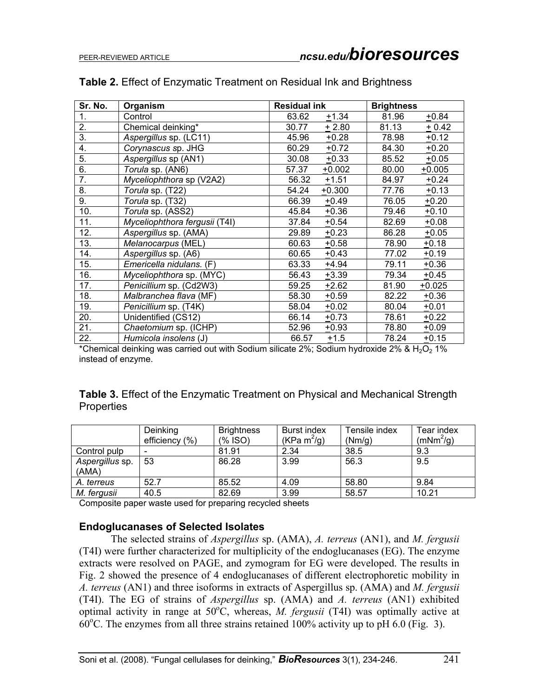| Sr. No.          | Organism                      | <b>Residual ink</b> | <b>Brightness</b> |  |
|------------------|-------------------------------|---------------------|-------------------|--|
| 1.               | Control                       | 63.62<br>$+1.34$    | 81.96<br>$+0.84$  |  |
| 2.               | Chemical deinking*            | $+2.80$<br>30.77    | 81.13<br>$+0.42$  |  |
| $\overline{3}$ . | Aspergillus sp. (LC11)        | $+0.28$<br>45.96    | 78.98<br>$+0.12$  |  |
| 4.               | Corynascus sp. JHG            | $+0.72$<br>60.29    | 84.30<br>$+0.20$  |  |
| $\overline{5}$ . | Aspergillus sp (AN1)          | $+0.33$<br>30.08    | $+0.05$<br>85.52  |  |
| 6.               | Torula sp. (AN6)              | 57.37<br>$+0.002$   | 80.00<br>$+0.005$ |  |
| $\overline{7}$ . | Myceliophthora sp (V2A2)      | $+1.51$<br>56.32    | 84.97<br>$+0.24$  |  |
| 8.               | Torula sp. (T22)              | 54.24<br>$+0.300$   | 77.76<br>$+0.13$  |  |
| 9.               | Torula sp. (T32)              | 66.39<br>$+0.49$    | 76.05<br>$+0.20$  |  |
| 10.              | Torula sp. (ASS2)             | $+0.36$<br>45.84    | 79.46<br>$+0.10$  |  |
| 11.              | Myceliophthora fergusii (T4I) | 37.84<br>$+0.54$    | 82.69<br>$+0.08$  |  |
| 12.              | Aspergillus sp. (AMA)         | 29.89<br>$+0.23$    | 86.28<br>$+0.05$  |  |
| 13.              | Melanocarpus (MEL)            | 60.63<br>$+0.58$    | 78.90<br>$+0.18$  |  |
| 14.              | Aspergillus sp. (A6)          | 60.65<br>$+0.43$    | 77.02<br>$+0.19$  |  |
| 15.              | Emericella nidulans. (F)      | 63.33<br>$+4.94$    | 79.11<br>$+0.36$  |  |
| 16.              | Myceliophthora sp. (MYC)      | $+3.39$<br>56.43    | $+0.45$<br>79.34  |  |
| 17.              | Penicillium sp. (Cd2W3)       | 59.25<br>$+2.62$    | 81.90<br>$+0.025$ |  |
| 18.              | Malbranchea flava (MF)        | $+0.59$<br>58.30    | 82.22<br>$+0.36$  |  |
| 19.              | Penicillium sp. (T4K)         | $+0.02$<br>58.04    | 80.04<br>$+0.01$  |  |
| 20.              | Unidentified (CS12)           | $+0.73$<br>66.14    | $+0.22$<br>78.61  |  |
| 21.              | Chaetomium sp. (ICHP)         | 52.96<br>$+0.93$    | 78.80<br>$+0.09$  |  |
| 22.              | Humicola insolens (J)         | $+1.5$<br>66.57     | 78.24<br>$+0.15$  |  |

#### **Table 2.** Effect of Enzymatic Treatment on Residual Ink and Brightness

\*Chemical deinking was carried out with Sodium silicate 2%; Sodium hydroxide 2% & H<sub>2</sub>O<sub>2</sub> 1% instead of enzyme.

# **Table 3.** Effect of the Enzymatic Treatment on Physical and Mechanical Strength Properties

|                          | Deinking<br>efficiency (%) | <b>Brightness</b><br>$(% \mathcal{L}(\mathcal{L})\cap \mathcal{L}(\mathcal{L}))$ | <b>Burst index</b><br>(KPa m <sup>2</sup> /g) | Tensile index<br>(Nm/q) | Tear index<br>(mNm <sup>2</sup> /g) |
|--------------------------|----------------------------|----------------------------------------------------------------------------------|-----------------------------------------------|-------------------------|-------------------------------------|
| Control pulp             |                            | 81.91                                                                            | 2.34                                          | 38.5                    | 9.3                                 |
| Aspergillus sp.<br>(AMA) | 53                         | 86.28                                                                            | 3.99                                          | 56.3                    | 9.5                                 |
| A. terreus               | 52.7                       | 85.52                                                                            | 4.09                                          | 58.80                   | 9.84                                |
| M. fergusii              | 40.5                       | 82.69                                                                            | 3.99                                          | 58.57                   | 10.21                               |

Composite paper waste used for preparing recycled sheets

### **Endoglucanases of Selected Isolates**

 The selected strains of *Aspergillus* sp. (AMA), *A. terreus* (AN1), and *M. fergusii* (T4I) were further characterized for multiplicity of the endoglucanases (EG). The enzyme extracts were resolved on PAGE, and zymogram for EG were developed. The results in Fig. 2 showed the presence of 4 endoglucanases of different electrophoretic mobility in *A. terreus* (AN1) and three isoforms in extracts of Aspergillus sp. (AMA) and *M. fergusii* (T4I). The EG of strains of *Aspergillus* sp. (AMA) and *A. terreus* (AN1) exhibited optimal activity in range at  $50^{\circ}$ C, whereas, *M. fergusii* (T4I) was optimally active at  $60^{\circ}$ C. The enzymes from all three strains retained 100% activity up to pH 6.0 (Fig. 3).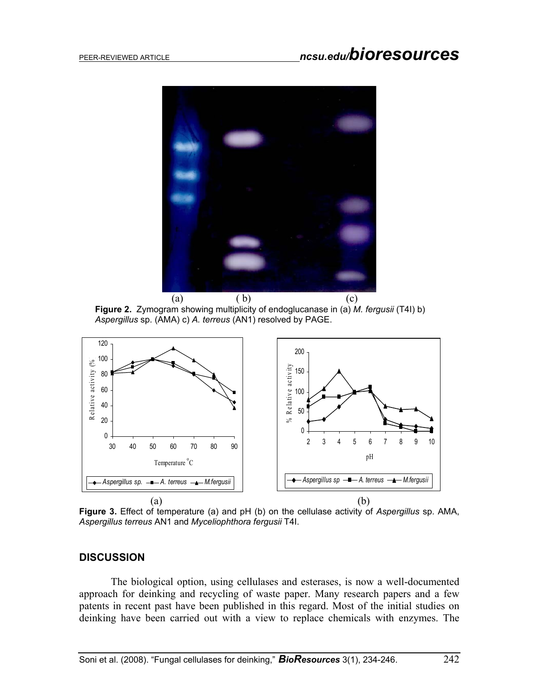

(a) (b) (c) **Figure 2.** Zymogram showing multiplicity of endoglucanase in (a) *M. fergusii* (T4I) b) *Aspergillus* sp. (AMA) c) *A. terreus* (AN1) resolved by PAGE.



**Figure 3.** Effect of temperature (a) and pH (b) on the cellulase activity of *Aspergillus* sp. AMA, *Aspergillus terreus* AN1 and *Myceliophthora fergusii* T4I.

#### **DISCUSSION**

 The biological option, using cellulases and esterases, is now a well-documented approach for deinking and recycling of waste paper. Many research papers and a few patents in recent past have been published in this regard. Most of the initial studies on deinking have been carried out with a view to replace chemicals with enzymes. The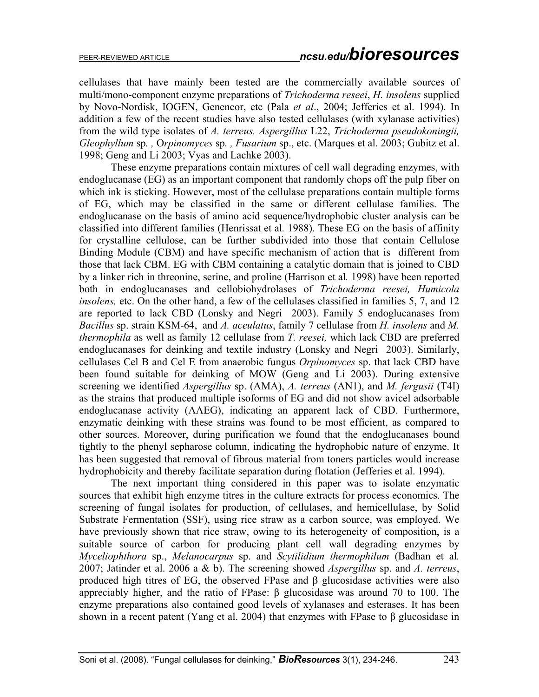cellulases that have mainly been tested are the commercially available sources of multi/mono-component enzyme preparations of *Trichoderma reseei*, *H. insolens* supplied by Novo-Nordisk, IOGEN, Genencor, etc (Pala *et al*., 2004; Jefferies et al. 1994). In addition a few of the recent studies have also tested cellulases (with xylanase activities) from the wild type isolates of *A. terreus, Aspergillus* L22, *Trichoderma pseudokoningii, Gleophyllum* sp*. ,* O*rpinomyces* sp*. , Fusarium* sp., etc. (Marques et al. 2003; Gubitz et al. 1998; Geng and Li 2003; Vyas and Lachke 2003).

 These enzyme preparations contain mixtures of cell wall degrading enzymes, with endoglucanase (EG) as an important component that randomly chops off the pulp fiber on which ink is sticking. However, most of the cellulase preparations contain multiple forms of EG, which may be classified in the same or different cellulase families. The endoglucanase on the basis of amino acid sequence/hydrophobic cluster analysis can be classified into different families (Henrissat et al*.* 1988). These EG on the basis of affinity for crystalline cellulose, can be further subdivided into those that contain Cellulose Binding Module (CBM) and have specific mechanism of action that is different from those that lack CBM. EG with CBM containing a catalytic domain that is joined to CBD by a linker rich in threonine, serine, and proline (Harrison et al*.* 1998) have been reported both in endoglucanases and cellobiohydrolases of *Trichoderma reesei, Humicola insolens,* etc. On the other hand, a few of the cellulases classified in families 5, 7, and 12 are reported to lack CBD (Lonsky and Negri 2003). Family 5 endoglucanases from *Bacillus* sp. strain KSM-64, and *A. aceulatus*, family 7 cellulase from *H. insolens* and *M. thermophila* as well as family 12 cellulase from *T. reesei,* which lack CBD are preferred endoglucanases for deinking and textile industry (Lonsky and Negri 2003). Similarly, cellulases Cel B and Cel E from anaerobic fungus *Orpinomyces* sp. that lack CBD have been found suitable for deinking of MOW (Geng and Li 2003). During extensive screening we identified *Aspergillus* sp. (AMA), *A. terreus* (AN1), and *M. fergusii* (T4I) as the strains that produced multiple isoforms of EG and did not show avicel adsorbable endoglucanase activity (AAEG), indicating an apparent lack of CBD. Furthermore, enzymatic deinking with these strains was found to be most efficient, as compared to other sources. Moreover, during purification we found that the endoglucanases bound tightly to the phenyl sepharose column, indicating the hydrophobic nature of enzyme. It has been suggested that removal of fibrous material from toners particles would increase hydrophobicity and thereby facilitate separation during flotation (Jefferies et al. 1994).

 The next important thing considered in this paper was to isolate enzymatic sources that exhibit high enzyme titres in the culture extracts for process economics. The screening of fungal isolates for production, of cellulases, and hemicellulase, by Solid Substrate Fermentation (SSF), using rice straw as a carbon source, was employed. We have previously shown that rice straw, owing to its heterogeneity of composition, is a suitable source of carbon for producing plant cell wall degrading enzymes by *Myceliophthora* sp., *Melanocarpus* sp. and *Scytilidium thermophilum* (Badhan et al*.* 2007; Jatinder et al. 2006 a & b). The screening showed *Aspergillus* sp. and *A. terreus*, produced high titres of EG, the observed FPase and  $\beta$  glucosidase activities were also appreciably higher, and the ratio of FPase: β glucosidase was around 70 to 100. The enzyme preparations also contained good levels of xylanases and esterases. It has been shown in a recent patent (Yang et al. 2004) that enzymes with FPase to β glucosidase in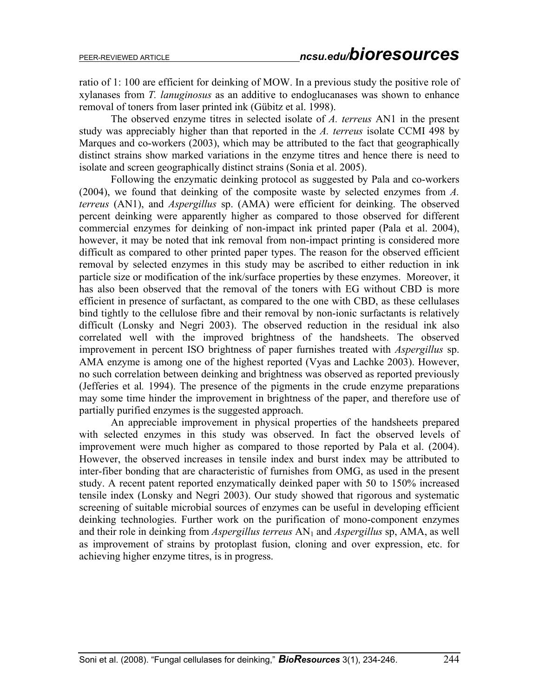ratio of 1: 100 are efficient for deinking of MOW. In a previous study the positive role of xylanases from *T. lanuginosus* as an additive to endoglucanases was shown to enhance removal of toners from laser printed ink (Gübitz et al. 1998).

 The observed enzyme titres in selected isolate of *A. terreus* AN1 in the present study was appreciably higher than that reported in the *A. terreus* isolate CCMI 498 by Marques and co-workers (2003), which may be attributed to the fact that geographically distinct strains show marked variations in the enzyme titres and hence there is need to isolate and screen geographically distinct strains (Sonia et al. 2005).

 Following the enzymatic deinking protocol as suggested by Pala and co-workers (2004), we found that deinking of the composite waste by selected enzymes from *A. terreus* (AN1), and *Aspergillus* sp. (AMA) were efficient for deinking. The observed percent deinking were apparently higher as compared to those observed for different commercial enzymes for deinking of non-impact ink printed paper (Pala et al. 2004), however, it may be noted that ink removal from non-impact printing is considered more difficult as compared to other printed paper types. The reason for the observed efficient removal by selected enzymes in this study may be ascribed to either reduction in ink particle size or modification of the ink/surface properties by these enzymes. Moreover, it has also been observed that the removal of the toners with EG without CBD is more efficient in presence of surfactant, as compared to the one with CBD, as these cellulases bind tightly to the cellulose fibre and their removal by non-ionic surfactants is relatively difficult (Lonsky and Negri 2003). The observed reduction in the residual ink also correlated well with the improved brightness of the handsheets. The observed improvement in percent ISO brightness of paper furnishes treated with *Aspergillus* sp. AMA enzyme is among one of the highest reported (Vyas and Lachke 2003). However, no such correlation between deinking and brightness was observed as reported previously (Jefferies et al*.* 1994). The presence of the pigments in the crude enzyme preparations may some time hinder the improvement in brightness of the paper, and therefore use of partially purified enzymes is the suggested approach.

 An appreciable improvement in physical properties of the handsheets prepared with selected enzymes in this study was observed. In fact the observed levels of improvement were much higher as compared to those reported by Pala et al. (2004). However, the observed increases in tensile index and burst index may be attributed to inter-fiber bonding that are characteristic of furnishes from OMG, as used in the present study. A recent patent reported enzymatically deinked paper with 50 to 150% increased tensile index (Lonsky and Negri 2003). Our study showed that rigorous and systematic screening of suitable microbial sources of enzymes can be useful in developing efficient deinking technologies. Further work on the purification of mono-component enzymes and their role in deinking from *Aspergillus terreus* AN1 and *Aspergillus* sp, AMA, as well as improvement of strains by protoplast fusion, cloning and over expression, etc. for achieving higher enzyme titres, is in progress.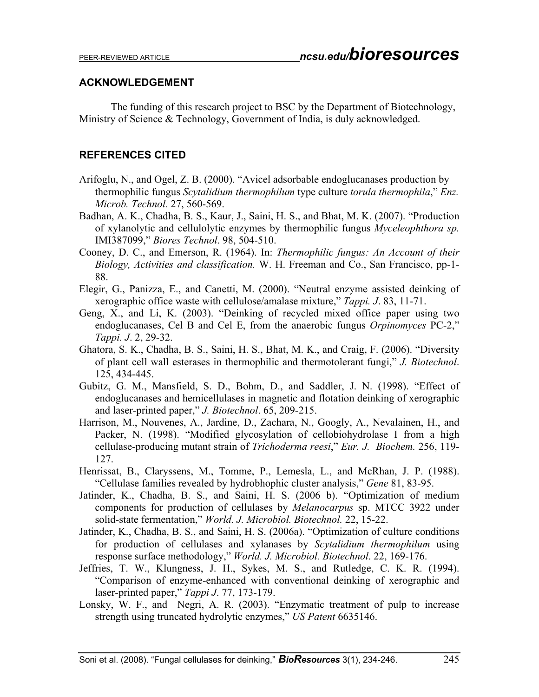#### **ACKNOWLEDGEMENT**

 The funding of this research project to BSC by the Department of Biotechnology, Ministry of Science & Technology, Government of India, is duly acknowledged.

### **REFERENCES CITED**

- Arifoglu, N., and Ogel, Z. B. (2000). "Avicel adsorbable endoglucanases production by thermophilic fungus *Scytalidium thermophilum* type culture *torula thermophila*," *Enz. Microb. Technol.* 27, 560-569.
- Badhan, A. K., Chadha, B. S., Kaur, J., Saini, H. S., and Bhat, M. K. (2007). "Production of xylanolytic and cellulolytic enzymes by thermophilic fungus *Myceleophthora sp.* IMI387099," *Biores Technol*. 98, 504-510.
- Cooney, D. C., and Emerson, R. (1964). In: *Thermophilic fungus: An Account of their Biology, Activities and classification.* W. H. Freeman and Co., San Francisco, pp-1- 88.
- Elegir, G., Panizza, E., and Canetti, M. (2000). "Neutral enzyme assisted deinking of xerographic office waste with cellulose/amalase mixture," *Tappi. J*. 83, 11-71.
- Geng, X., and Li, K. (2003). "Deinking of recycled mixed office paper using two endoglucanases, Cel B and Cel E, from the anaerobic fungus *Orpinomyces* PC-2," *Tappi. J*. 2, 29-32.
- Ghatora, S. K., Chadha, B. S., Saini, H. S., Bhat, M. K., and Craig, F. (2006). "Diversity of plant cell wall esterases in thermophilic and thermotolerant fungi," *J. Biotechnol*. 125, 434-445.
- Gubitz, G. M., Mansfield, S. D., Bohm, D., and Saddler, J. N. (1998). "Effect of endoglucanases and hemicellulases in magnetic and flotation deinking of xerographic and laser-printed paper," *J. Biotechnol*. 65, 209-215.
- Harrison, M., Nouvenes, A., Jardine, D., Zachara, N., Googly, A., Nevalainen, H., and Packer, N. (1998). "Modified glycosylation of cellobiohydrolase I from a high cellulase-producing mutant strain of *Trichoderma reesi*," *Eur. J. Biochem.* 256, 119- 127.
- Henrissat, B., Claryssens, M., Tomme, P., Lemesla, L., and McRhan, J. P. (1988). "Cellulase families revealed by hydrobhophic cluster analysis," *Gene* 81, 83-95.
- Jatinder, K., Chadha, B. S., and Saini, H. S. (2006 b). "Optimization of medium components for production of cellulases by *Melanocarpus* sp. MTCC 3922 under solid-state fermentation," *World. J. Microbiol. Biotechnol.* 22, 15-22.
- Jatinder, K., Chadha, B. S., and Saini, H. S. (2006a). "Optimization of culture conditions for production of cellulases and xylanases by *Scytalidium thermophilum* using response surface methodology," *World. J. Microbiol. Biotechnol*. 22, 169-176.
- Jeffries, T. W., Klungness, J. H., Sykes, M. S., and Rutledge, C. K. R. (1994). "Comparison of enzyme-enhanced with conventional deinking of xerographic and laser-printed paper," *Tappi J*. 77, 173-179.
- Lonsky, W. F., and Negri, A. R. (2003). "Enzymatic treatment of pulp to increase strength using truncated hydrolytic enzymes," *US Patent* 6635146.